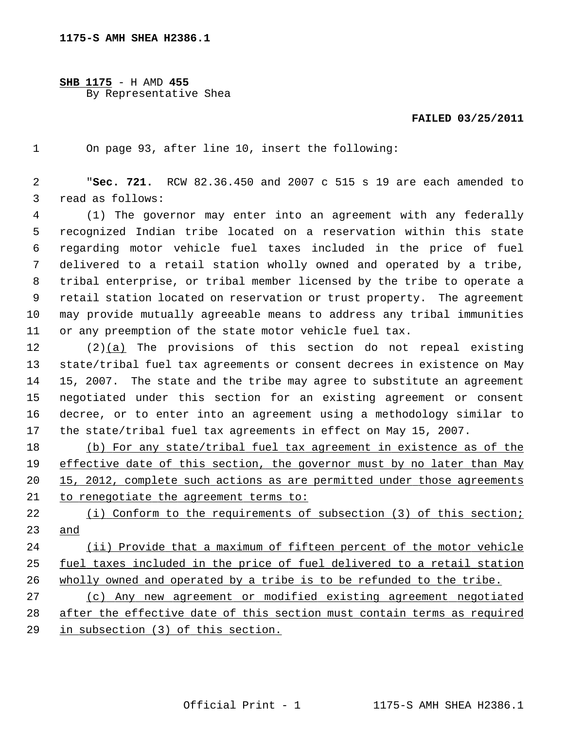**SHB 1175** - H AMD **455** By Representative Shea

## **FAILED 03/25/2011**

1 On page 93, after line 10, insert the following:

 2 "**Sec. 721.** RCW 82.36.450 and 2007 c 515 s 19 are each amended to 3 read as follows:

 4 (1) The governor may enter into an agreement with any federally 5 recognized Indian tribe located on a reservation within this state 6 regarding motor vehicle fuel taxes included in the price of fuel 7 delivered to a retail station wholly owned and operated by a tribe, 8 tribal enterprise, or tribal member licensed by the tribe to operate a 9 retail station located on reservation or trust property. The agreement 10 may provide mutually agreeable means to address any tribal immunities 11 or any preemption of the state motor vehicle fuel tax.

12 (2)(a) The provisions of this section do not repeal existing 13 state/tribal fuel tax agreements or consent decrees in existence on May 14 15, 2007. The state and the tribe may agree to substitute an agreement 15 negotiated under this section for an existing agreement or consent 16 decree, or to enter into an agreement using a methodology similar to 17 the state/tribal fuel tax agreements in effect on May 15, 2007.

 (b) For any state/tribal fuel tax agreement in existence as of the effective date of this section, the governor must by no later than May 15, 2012, complete such actions as are permitted under those agreements to renegotiate the agreement terms to:

22 (i) Conform to the requirements of subsection (3) of this section; 23 and

24 (ii) Provide that a maximum of fifteen percent of the motor vehicle 25 fuel taxes included in the price of fuel delivered to a retail station 26 wholly owned and operated by a tribe is to be refunded to the tribe.

27 (c) Any new agreement or modified existing agreement negotiated 28 after the effective date of this section must contain terms as required 29 in subsection (3) of this section.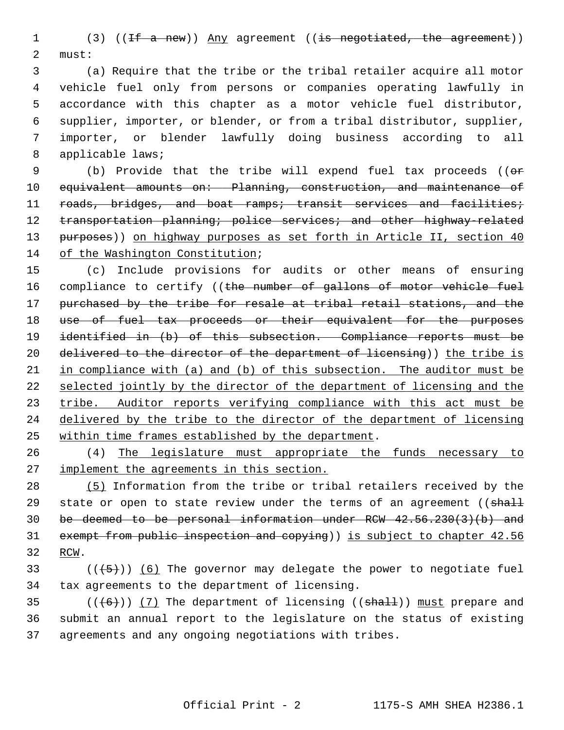1 (3) ((<del>If a new</del>)) Any agreement ((is negotiated, the agreement)) 2 must:

 3 (a) Require that the tribe or the tribal retailer acquire all motor 4 vehicle fuel only from persons or companies operating lawfully in 5 accordance with this chapter as a motor vehicle fuel distributor, 6 supplier, importer, or blender, or from a tribal distributor, supplier, 7 importer, or blender lawfully doing business according to all 8 applicable laws;

9 (b) Provide that the tribe will expend fuel tax proceeds ((or 10 equivalent amounts on: Planning, construction, and maintenance of 11 roads, bridges, and boat ramps; transit services and facilities; 12 transportation planning; police services; and other highway-related 13 purposes)) on highway purposes as set forth in Article II, section 40 14 of the Washington Constitution;

15 (c) Include provisions for audits or other means of ensuring 16 compliance to certify ((the number of gallons of motor vehicle fuel 17 purchased by the tribe for resale at tribal retail stations, and the 18 use of fuel tax proceeds or their equivalent for the purposes 19 identified in (b) of this subsection. Compliance reports must be 20 delivered to the director of the department of licensing)) the tribe is 21 in compliance with (a) and (b) of this subsection. The auditor must be 22 selected jointly by the director of the department of licensing and the 23 tribe. Auditor reports verifying compliance with this act must be 24 delivered by the tribe to the director of the department of licensing 25 within time frames established by the department.

26 (4) The legislature must appropriate the funds necessary to 27 implement the agreements in this section.

28 (5) Information from the tribe or tribal retailers received by the 29 state or open to state review under the terms of an agreement ( $\sinh\theta$ 30 be deemed to be personal information under RCW 42.56.230(3)(b) and 31 exempt from public inspection and copying)) is subject to chapter 42.56 32 RCW.

33  $((\langle 5 \rangle)(6)$  The governor may delegate the power to negotiate fuel 34 tax agreements to the department of licensing.

35  $((\left\lbrace 6 \right\rbrace))$  (7) The department of licensing ((shall)) must prepare and 36 submit an annual report to the legislature on the status of existing 37 agreements and any ongoing negotiations with tribes.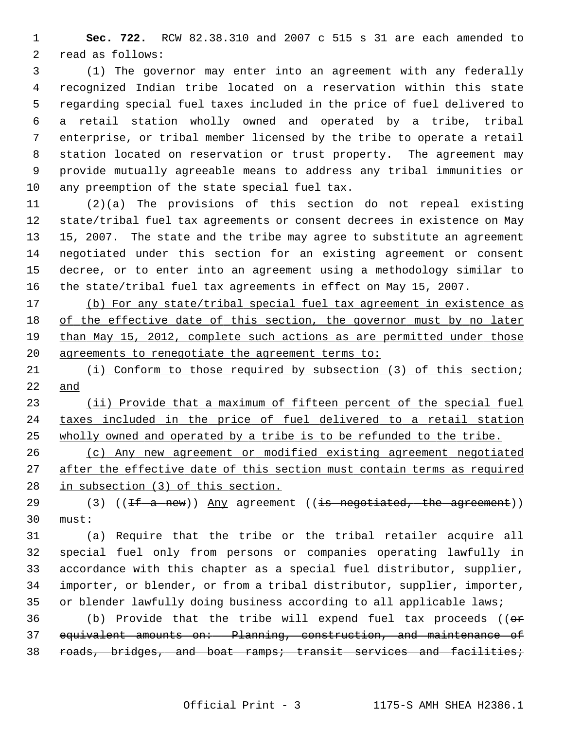1 **Sec. 722.** RCW 82.38.310 and 2007 c 515 s 31 are each amended to 2 read as follows:

 3 (1) The governor may enter into an agreement with any federally 4 recognized Indian tribe located on a reservation within this state 5 regarding special fuel taxes included in the price of fuel delivered to 6 a retail station wholly owned and operated by a tribe, tribal 7 enterprise, or tribal member licensed by the tribe to operate a retail 8 station located on reservation or trust property. The agreement may 9 provide mutually agreeable means to address any tribal immunities or 10 any preemption of the state special fuel tax.

11 (2)(a) The provisions of this section do not repeal existing 12 state/tribal fuel tax agreements or consent decrees in existence on May 13 15, 2007. The state and the tribe may agree to substitute an agreement 14 negotiated under this section for an existing agreement or consent 15 decree, or to enter into an agreement using a methodology similar to 16 the state/tribal fuel tax agreements in effect on May 15, 2007.

 (b) For any state/tribal special fuel tax agreement in existence as of the effective date of this section, the governor must by no later than May 15, 2012, complete such actions as are permitted under those agreements to renegotiate the agreement terms to:

21 (i) Conform to those required by subsection (3) of this section; 22 and

23 (ii) Provide that a maximum of fifteen percent of the special fuel 24 taxes included in the price of fuel delivered to a retail station 25 wholly owned and operated by a tribe is to be refunded to the tribe.

26 (c) Any new agreement or modified existing agreement negotiated 27 after the effective date of this section must contain terms as required 28 in subsection (3) of this section.

29  $(3)$   $(1 + \text{a new})$  Any agreement  $(1 + \text{a new})$ 30 must:

31 (a) Require that the tribe or the tribal retailer acquire all 32 special fuel only from persons or companies operating lawfully in 33 accordance with this chapter as a special fuel distributor, supplier, 34 importer, or blender, or from a tribal distributor, supplier, importer, 35 or blender lawfully doing business according to all applicable laws;

36 (b) Provide that the tribe will expend fuel tax proceeds (( $\theta$ r 37 equivalent amounts on: Planning, construction, and maintenance of 38 roads, bridges, and boat ramps; transit services and facilities;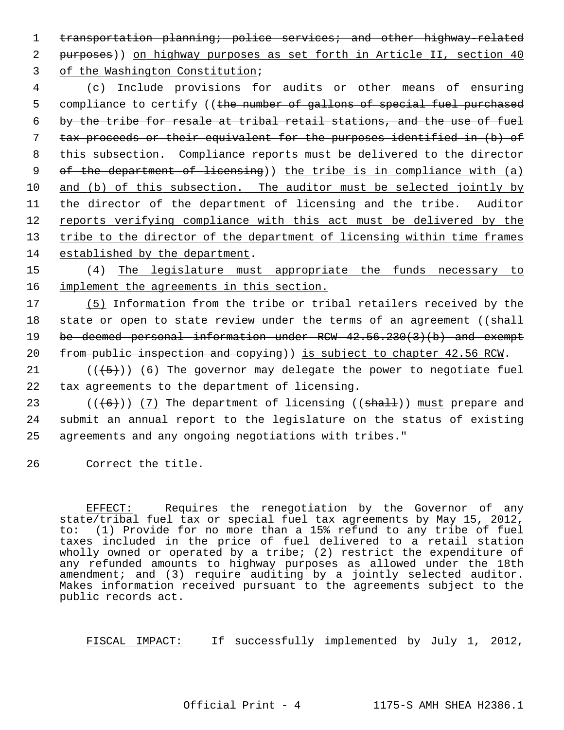1 transportation planning; police services; and other highway-related 2 purposes)) on highway purposes as set forth in Article II, section 40 3 of the Washington Constitution;

 4 (c) Include provisions for audits or other means of ensuring 5 compliance to certify ((the number of gallons of special fuel purchased by the tribe for resale at tribal retail stations, and the use of fuel tax proceeds or their equivalent for the purposes identified in (b) of this subsection. Compliance reports must be delivered to the director of the department of licensing)) the tribe is in compliance with (a) and (b) of this subsection. The auditor must be selected jointly by the director of the department of licensing and the tribe. Auditor reports verifying compliance with this act must be delivered by the tribe to the director of the department of licensing within time frames established by the department.

15 (4) The legislature must appropriate the funds necessary to 16 implement the agreements in this section.

 (5) Information from the tribe or tribal retailers received by the 18 state or open to state review under the terms of an agreement ((shall be deemed personal information under RCW 42.56.230(3)(b) and exempt from public inspection and copying)) is subject to chapter 42.56 RCW.

21  $((+5))$  (6) The governor may delegate the power to negotiate fuel 22 tax agreements to the department of licensing.

23 ( $((+6))$  (7) The department of licensing (( $\frac{1}{3}$ ) must prepare and 24 submit an annual report to the legislature on the status of existing 25 agreements and any ongoing negotiations with tribes."

26 Correct the title.

EFFECT: Requires the renegotiation by the Governor of any state/tribal fuel tax or special fuel tax agreements by May 15, 2012, to: (1) Provide for no more than a 15% refund to any tribe of fuel taxes included in the price of fuel delivered to a retail station wholly owned or operated by a tribe; (2) restrict the expenditure of any refunded amounts to highway purposes as allowed under the 18th amendment; and (3) require auditing by a jointly selected auditor. Makes information received pursuant to the agreements subject to the public records act.

FISCAL IMPACT: If successfully implemented by July 1, 2012,